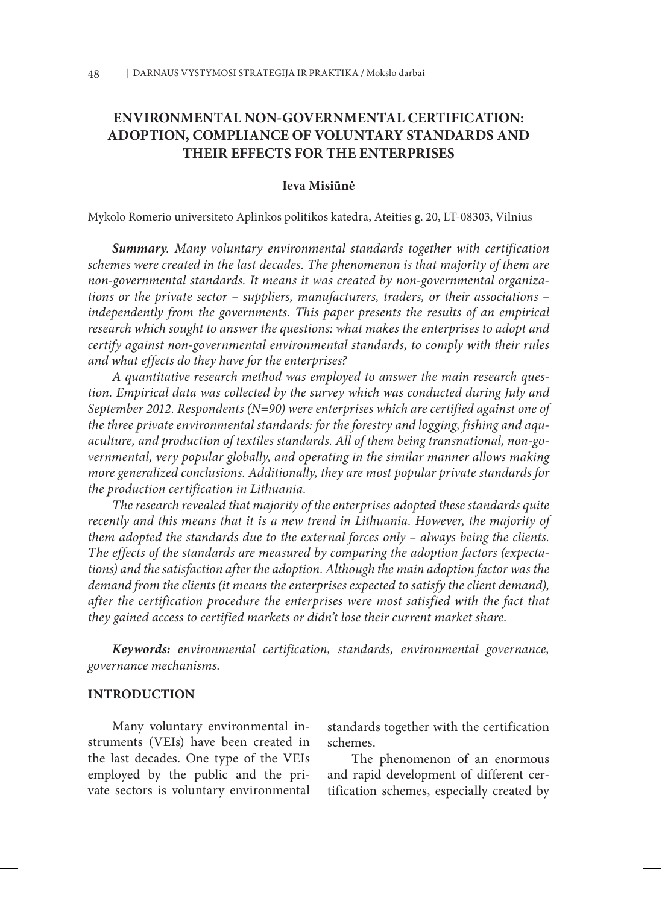# **ENVIRONMENTAL NON-GOVERNMENTAL CERTIFICATION: ADOPTION, COMPLIANCE OF VOLUNTARY STANDARDS AND THEIR EFFECTS FOR THE ENTERPRISES**

#### **Ieva Misiūnė**

Mykolo Romerio universiteto Aplinkos politikos katedra, Ateities g. 20, LT-08303, Vilnius

*Summary. Many voluntary environmental standards together with certification schemes were created in the last decades. The phenomenon is that majority of them are non-governmental standards. It means it was created by non-governmental organizations or the private sector – suppliers, manufacturers, traders, or their associations –*  independently from the governments. This paper presents the results of an empirical *research which sought to answer the questions: what makes the enterprises to adopt and certify against non-governmental environmental standards, to comply with their rules and what effects do they have for the enterprises?*

*A quantitative research method was employed to answer the main research question. Empirical data was collected by the survey which was conducted during July and September 2012. Respondents (N=90) were enterprises which are certified against one of the three private environmental standards: for the forestry and logging, fishing and aquaculture, and production of textiles standards. All of them being transnational, non-governmental, very popular globally, and operating in the similar manner allows making more generalized conclusions. Additionally, they are most popular private standards for the production certification in Lithuania.*

*The research revealed that majority of the enterprises adopted these standards quite recently and this means that it is a new trend in Lithuania. However, the majority of them adopted the standards due to the external forces only – always being the clients. The effects of the standards are measured by comparing the adoption factors (expectations) and the satisfaction after the adoption. Although the main adoption factor was the*  demand from the clients (it means the enterprises expected to satisfy the client demand), *after the certification procedure the enterprises were most satisfied with the fact that they gained access to certified markets or didn't lose their current market share.* 

*Keywords: environmental certification, standards, environmental governance, governance mechanisms.*

#### **INTRODUCTION**

Many voluntary environmental instruments (VEIs) have been created in the last decades. One type of the VEIs employed by the public and the private sectors is voluntary environmental standards together with the certification schemes.

The phenomenon of an enormous and rapid development of different certification schemes, especially created by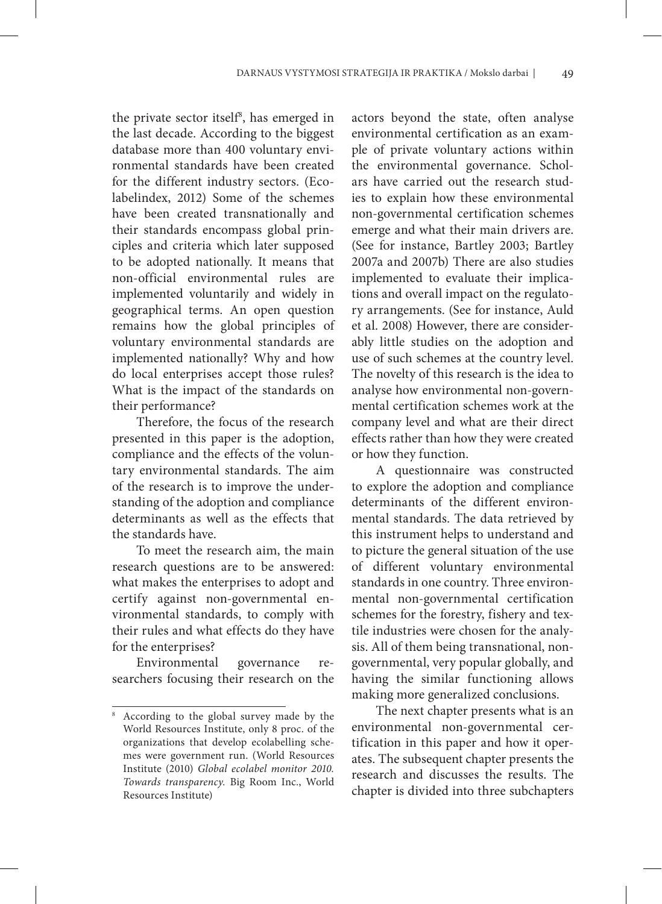the private sector itself<sup>8</sup>, has emerged in the last decade. According to the biggest database more than 400 voluntary environmental standards have been created for the different industry sectors. (Ecolabelindex, 2012) Some of the schemes have been created transnationally and their standards encompass global principles and criteria which later supposed to be adopted nationally. It means that non-official environmental rules are implemented voluntarily and widely in geographical terms. An open question remains how the global principles of voluntary environmental standards are implemented nationally? Why and how do local enterprises accept those rules? What is the impact of the standards on their performance?

Therefore, the focus of the research presented in this paper is the adoption, compliance and the effects of the voluntary environmental standards. The aim of the research is to improve the understanding of the adoption and compliance determinants as well as the effects that the standards have.

To meet the research aim, the main research questions are to be answered: what makes the enterprises to adopt and certify against non-governmental environmental standards, to comply with their rules and what effects do they have for the enterprises?

Environmental governance researchers focusing their research on the actors beyond the state, often analyse environmental certification as an example of private voluntary actions within the environmental governance. Scholars have carried out the research studies to explain how these environmental non-governmental certification schemes emerge and what their main drivers are. (See for instance, Bartley 2003; Bartley 2007a and 2007b) There are also studies implemented to evaluate their implications and overall impact on the regulatory arrangements. (See for instance, Auld et al. 2008) However, there are considerably little studies on the adoption and use of such schemes at the country level. The novelty of this research is the idea to analyse how environmental non-governmental certification schemes work at the company level and what are their direct effects rather than how they were created or how they function.

A questionnaire was constructed to explore the adoption and compliance determinants of the different environmental standards. The data retrieved by this instrument helps to understand and to picture the general situation of the use of different voluntary environmental standards in one country. Three environmental non-governmental certification schemes for the forestry, fishery and textile industries were chosen for the analysis. All of them being transnational, nongovernmental, very popular globally, and having the similar functioning allows making more generalized conclusions.

The next chapter presents what is an environmental non-governmental certification in this paper and how it operates. The subsequent chapter presents the research and discusses the results. The chapter is divided into three subchapters

According to the global survey made by the World Resources Institute, only 8 proc. of the organizations that develop ecolabelling schemes were government run. (World Resources Institute (2010) *Global ecolabel monitor 2010. Towards transparency.* Big Room Inc., World Resources Institute)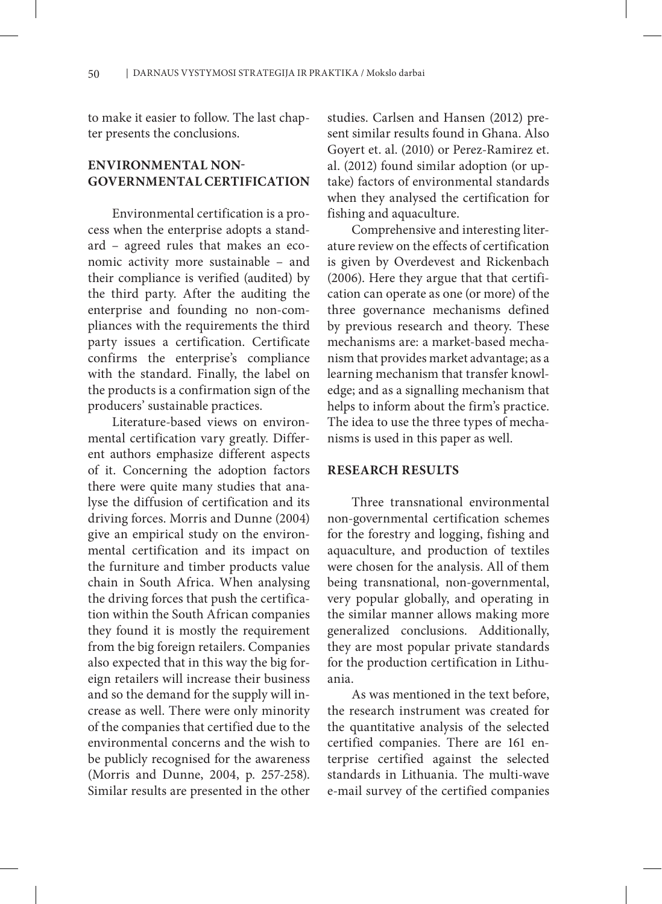to make it easier to follow. The last chapter presents the conclusions.

# **ENVIRONMENTAL NON-GOVERNMENTAL CERTIFICATION**

Environmental certification is a process when the enterprise adopts a standard – agreed rules that makes an economic activity more sustainable – and their compliance is verified (audited) by the third party. After the auditing the enterprise and founding no non-compliances with the requirements the third party issues a certification. Certificate confirms the enterprise's compliance with the standard. Finally, the label on the products is a confirmation sign of the producers' sustainable practices.

Literature-based views on environmental certification vary greatly. Different authors emphasize different aspects of it. Concerning the adoption factors there were quite many studies that analyse the diffusion of certification and its driving forces. Morris and Dunne (2004) give an empirical study on the environmental certification and its impact on the furniture and timber products value chain in South Africa. When analysing the driving forces that push the certification within the South African companies they found it is mostly the requirement from the big foreign retailers. Companies also expected that in this way the big foreign retailers will increase their business and so the demand for the supply will increase as well. There were only minority of the companies that certified due to the environmental concerns and the wish to be publicly recognised for the awareness (Morris and Dunne, 2004, p. 257-258). Similar results are presented in the other

studies. Carlsen and Hansen (2012) present similar results found in Ghana. Also Goyert et. al. (2010) or Perez-Ramirez et. al. (2012) found similar adoption (or uptake) factors of environmental standards when they analysed the certification for fishing and aquaculture.

Comprehensive and interesting literature review on the effects of certification is given by Overdevest and Rickenbach (2006). Here they argue that that certification can operate as one (or more) of the three governance mechanisms defined by previous research and theory. These mechanisms are: a market-based mechanism that provides market advantage; as a learning mechanism that transfer knowledge; and as a signalling mechanism that helps to inform about the firm's practice. The idea to use the three types of mechanisms is used in this paper as well.

#### **RESEARCH RESULTS**

Three transnational environmental non-governmental certification schemes for the forestry and logging, fishing and aquaculture, and production of textiles were chosen for the analysis. All of them being transnational, non-governmental, very popular globally, and operating in the similar manner allows making more generalized conclusions. Additionally, they are most popular private standards for the production certification in Lithuania.

As was mentioned in the text before, the research instrument was created for the quantitative analysis of the selected certified companies. There are 161 enterprise certified against the selected standards in Lithuania. The multi-wave e-mail survey of the certified companies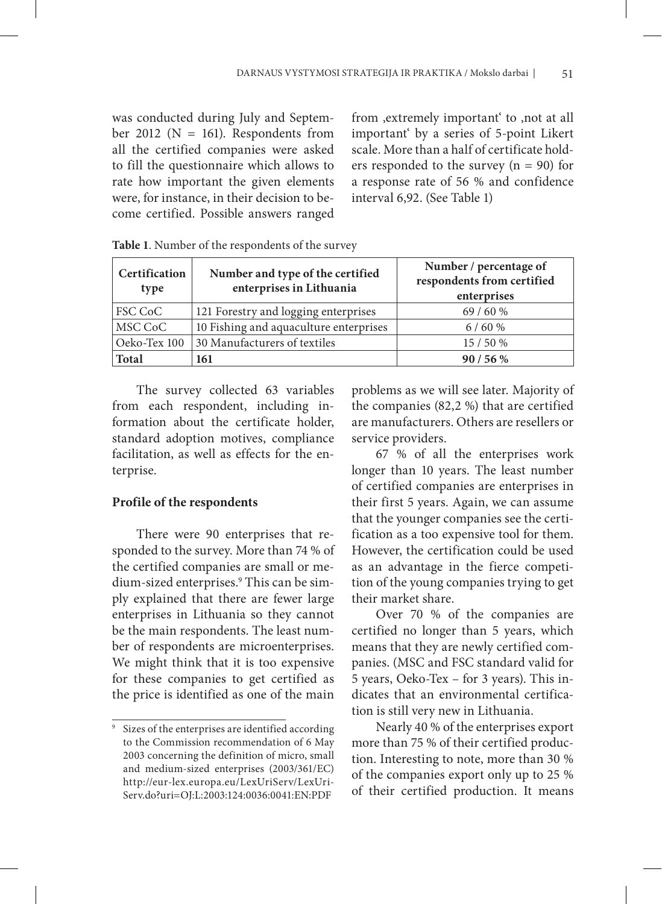was conducted during July and September 2012 ( $N = 161$ ). Respondents from all the certified companies were asked to fill the questionnaire which allows to rate how important the given elements were, for instance, in their decision to become certified. Possible answers ranged from , extremely important to , not at all important' by a series of 5-point Likert scale. More than a half of certificate holders responded to the survey  $(n = 90)$  for a response rate of 56 % and confidence interval 6,92. (See Table 1)

| Certification<br>type | Number and type of the certified<br>enterprises in Lithuania | Number / percentage of<br>respondents from certified<br>enterprises |
|-----------------------|--------------------------------------------------------------|---------------------------------------------------------------------|
| FSC CoC               | 121 Forestry and logging enterprises                         | 69/60%                                                              |
| MSC CoC               | 10 Fishing and aquaculture enterprises                       | 6/60%                                                               |
| Oeko-Tex 100          | 30 Manufacturers of textiles                                 | 15/50%                                                              |
| <b>Total</b>          | 161                                                          | 90/56%                                                              |

The survey collected 63 variables from each respondent, including information about the certificate holder, standard adoption motives, compliance facilitation, as well as effects for the enterprise.

#### **Profile of the respondents**

There were 90 enterprises that responded to the survey. More than 74 % of the certified companies are small or medium-sized enterprises.<sup>9</sup> This can be simply explained that there are fewer large enterprises in Lithuania so they cannot be the main respondents. The least number of respondents are microenterprises. We might think that it is too expensive for these companies to get certified as the price is identified as one of the main

problems as we will see later. Majority of the companies (82,2 %) that are certified are manufacturers. Others are resellers or service providers.

67 % of all the enterprises work longer than 10 years. The least number of certified companies are enterprises in their first 5 years. Again, we can assume that the younger companies see the certification as a too expensive tool for them. However, the certification could be used as an advantage in the fierce competition of the young companies trying to get their market share.

Over 70 % of the companies are certified no longer than 5 years, which means that they are newly certified companies. (MSC and FSC standard valid for 5 years, Oeko-Tex – for 3 years). This indicates that an environmental certification is still very new in Lithuania.

Nearly 40 % of the enterprises export more than 75 % of their certified production. Interesting to note, more than 30 % of the companies export only up to 25 % of their certified production. It means

<sup>9</sup> Sizes of the enterprises are identified according to the Commission recommendation of 6 May 2003 concerning the definition of micro, small and medium-sized enterprises (2003/361/EC) http://eur-lex.europa.eu/LexUriServ/LexUri-Serv.do?uri=OJ:L:2003:124:0036:0041:EN:PDF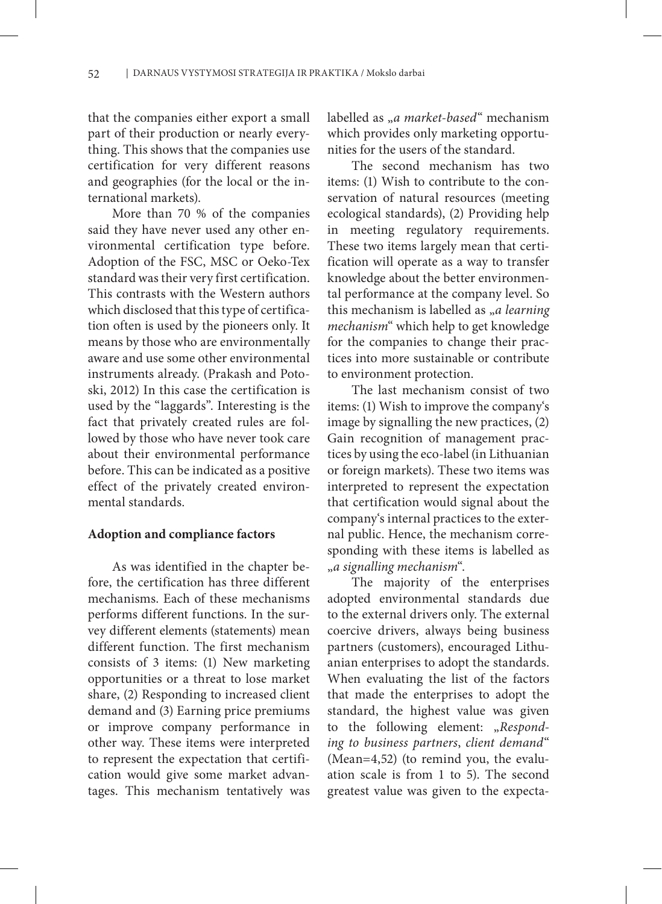that the companies either export a small part of their production or nearly everything. This shows that the companies use certification for very different reasons and geographies (for the local or the international markets).

More than 70 % of the companies said they have never used any other environmental certification type before. Adoption of the FSC, MSC or Oeko-Tex standard was their very first certification. This contrasts with the Western authors which disclosed that this type of certification often is used by the pioneers only. It means by those who are environmentally aware and use some other environmental instruments already. (Prakash and Potoski, 2012) In this case the certification is used by the "laggards". Interesting is the fact that privately created rules are followed by those who have never took care about their environmental performance before. This can be indicated as a positive effect of the privately created environmental standards.

#### **Adoption and compliance factors**

As was identified in the chapter before, the certification has three different mechanisms. Each of these mechanisms performs different functions. In the survey different elements (statements) mean different function. The first mechanism consists of 3 items: (1) New marketing opportunities or a threat to lose market share, (2) Responding to increased client demand and (3) Earning price premiums or improve company performance in other way. These items were interpreted to represent the expectation that certification would give some market advantages. This mechanism tentatively was

labelled as <sub>ya</sub> market-based" mechanism which provides only marketing opportunities for the users of the standard.

The second mechanism has two items: (1) Wish to contribute to the conservation of natural resources (meeting ecological standards), (2) Providing help in meeting regulatory requirements. These two items largely mean that certification will operate as a way to transfer knowledge about the better environmental performance at the company level. So this mechanism is labelled as "*a learning mechanism*" which help to get knowledge for the companies to change their practices into more sustainable or contribute to environment protection.

The last mechanism consist of two items: (1) Wish to improve the company's image by signalling the new practices, (2) Gain recognition of management practices by using the eco-label (in Lithuanian or foreign markets). These two items was interpreted to represent the expectation that certification would signal about the company's internal practices to the external public. Hence, the mechanism corresponding with these items is labelled as "*a signalling mechanism*".

The majority of the enterprises adopted environmental standards due to the external drivers only. The external coercive drivers, always being business partners (customers), encouraged Lithuanian enterprises to adopt the standards. When evaluating the list of the factors that made the enterprises to adopt the standard, the highest value was given to the following element: "Respond*ing to business partners*, *client demand*" (Mean=4,52) (to remind you, the evaluation scale is from 1 to 5). The second greatest value was given to the expecta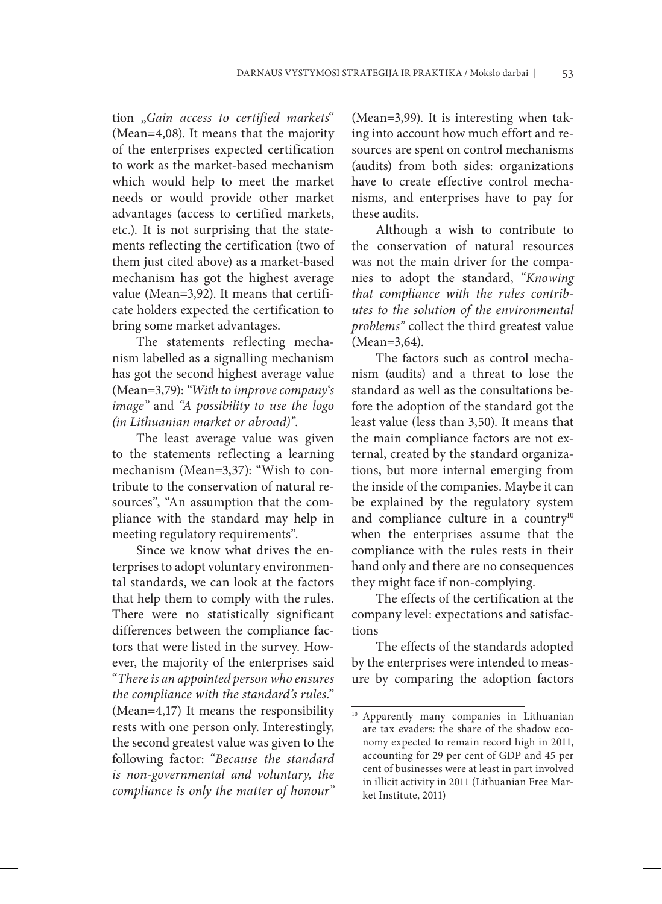tion "*Gain access to certified markets*" (Mean=4,08). It means that the majority of the enterprises expected certification to work as the market-based mechanism which would help to meet the market needs or would provide other market advantages (access to certified markets, etc.). It is not surprising that the statements reflecting the certification (two of them just cited above) as a market-based mechanism has got the highest average value (Mean=3,92). It means that certificate holders expected the certification to bring some market advantages.

The statements reflecting mechanism labelled as a signalling mechanism has got the second highest average value (Mean=3,79): *"With to improve company's image"* and *"A possibility to use the logo (in Lithuanian market or abroad)"*.

The least average value was given to the statements reflecting a learning mechanism (Mean=3,37): "Wish to contribute to the conservation of natural resources", "An assumption that the compliance with the standard may help in meeting regulatory requirements".

Since we know what drives the enterprises to adopt voluntary environmental standards, we can look at the factors that help them to comply with the rules. There were no statistically significant differences between the compliance factors that were listed in the survey. However, the majority of the enterprises said "*There is an appointed person who ensures the compliance with the standard's rules*." (Mean=4,17) It means the responsibility rests with one person only. Interestingly, the second greatest value was given to the following factor: "*Because the standard is non-governmental and voluntary, the compliance is only the matter of honour"*

(Mean=3,99). It is interesting when taking into account how much effort and resources are spent on control mechanisms (audits) from both sides: organizations have to create effective control mechanisms, and enterprises have to pay for these audits.

Although a wish to contribute to the conservation of natural resources was not the main driver for the companies to adopt the standard, "*Knowing that compliance with the rules contributes to the solution of the environmental problems"* collect the third greatest value (Mean=3,64).

The factors such as control mechanism (audits) and a threat to lose the standard as well as the consultations before the adoption of the standard got the least value (less than 3,50). It means that the main compliance factors are not external, created by the standard organizations, but more internal emerging from the inside of the companies. Maybe it can be explained by the regulatory system and compliance culture in a country<sup>10</sup> when the enterprises assume that the compliance with the rules rests in their hand only and there are no consequences they might face if non-complying.

The effects of the certification at the company level: expectations and satisfactions

The effects of the standards adopted by the enterprises were intended to measure by comparing the adoption factors

<sup>10</sup> Apparently many companies in Lithuanian are tax evaders: the share of the shadow economy expected to remain record high in 2011, accounting for 29 per cent of GDP and 45 per cent of businesses were at least in part involved in illicit activity in 2011 (Lithuanian Free Market Institute, 2011)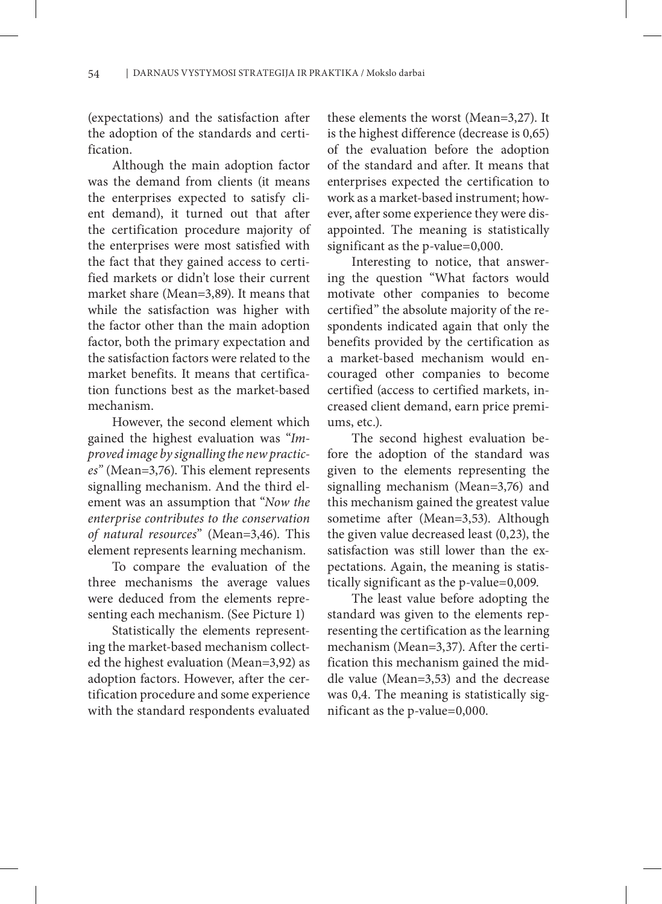(expectations) and the satisfaction after the adoption of the standards and certification.

Although the main adoption factor was the demand from clients (it means the enterprises expected to satisfy client demand), it turned out that after the certification procedure majority of the enterprises were most satisfied with the fact that they gained access to certified markets or didn't lose their current market share (Mean=3,89). It means that while the satisfaction was higher with the factor other than the main adoption factor, both the primary expectation and the satisfaction factors were related to the market benefits. It means that certification functions best as the market-based mechanism.

However, the second element which gained the highest evaluation was "*Improved image by signalling the new practices"* (Mean=3,76). This element represents signalling mechanism. And the third element was an assumption that "*Now the enterprise contributes to the conservation of natural resources*" (Mean=3,46). This element represents learning mechanism.

To compare the evaluation of the three mechanisms the average values were deduced from the elements representing each mechanism. (See Picture 1)

Statistically the elements representing the market-based mechanism collected the highest evaluation (Mean=3,92) as adoption factors. However, after the certification procedure and some experience with the standard respondents evaluated these elements the worst (Mean=3,27). It is the highest difference (decrease is 0,65) of the evaluation before the adoption of the standard and after. It means that enterprises expected the certification to work as a market-based instrument; however, after some experience they were disappointed. The meaning is statistically significant as the p-value=0,000.

Interesting to notice, that answering the question "What factors would motivate other companies to become certified" the absolute majority of the respondents indicated again that only the benefits provided by the certification as a market-based mechanism would encouraged other companies to become certified (access to certified markets, increased client demand, earn price premiums, etc.).

The second highest evaluation before the adoption of the standard was given to the elements representing the signalling mechanism (Mean=3,76) and this mechanism gained the greatest value sometime after (Mean=3,53). Although the given value decreased least (0,23), the satisfaction was still lower than the expectations. Again, the meaning is statistically significant as the p-value=0,009.

The least value before adopting the standard was given to the elements representing the certification as the learning mechanism (Mean=3,37). After the certification this mechanism gained the middle value (Mean=3,53) and the decrease was 0,4. The meaning is statistically significant as the p-value=0,000.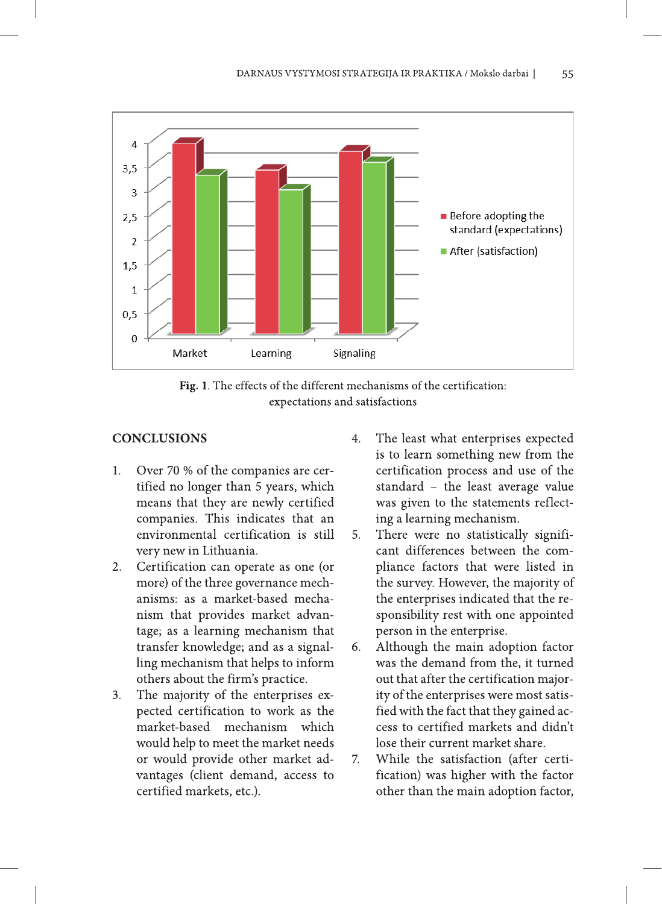



## **CONCLUSIONS**

- Over 70 % of the companies are cer- $1.$ tified no longer than 5 years, which means that they are newly certified companies. This indicates that an environmental certification is still very new in Lithuania.
- Certification can operate as one (or 2. more) of the three governance mechanisms: as a market-based mechanism that provides market advantage; as a learning mechanism that transfer knowledge; and as a signalling mechanism that helps to inform others about the firm's practice.
- The majority of the enterprises ex- $3.$ pected certification to work as the market-based mechanism which would help to meet the market needs or would provide other market advantages (client demand, access to certified markets, etc.).
- The least what enterprises expected  $4.$ is to learn something new from the certification process and use of the standard - the least average value was given to the statements reflecting a learning mechanism.
- There were no statistically signifi-5. cant differences between the compliance factors that were listed in the survey. However, the majority of the enterprises indicated that the responsibility rest with one appointed person in the enterprise.
- Although the main adoption factor 6. was the demand from the, it turned out that after the certification majority of the enterprises were most satisfied with the fact that they gained access to certified markets and didn't lose their current market share.
- $\overline{7}$ . While the satisfaction (after certification) was higher with the factor other than the main adoption factor,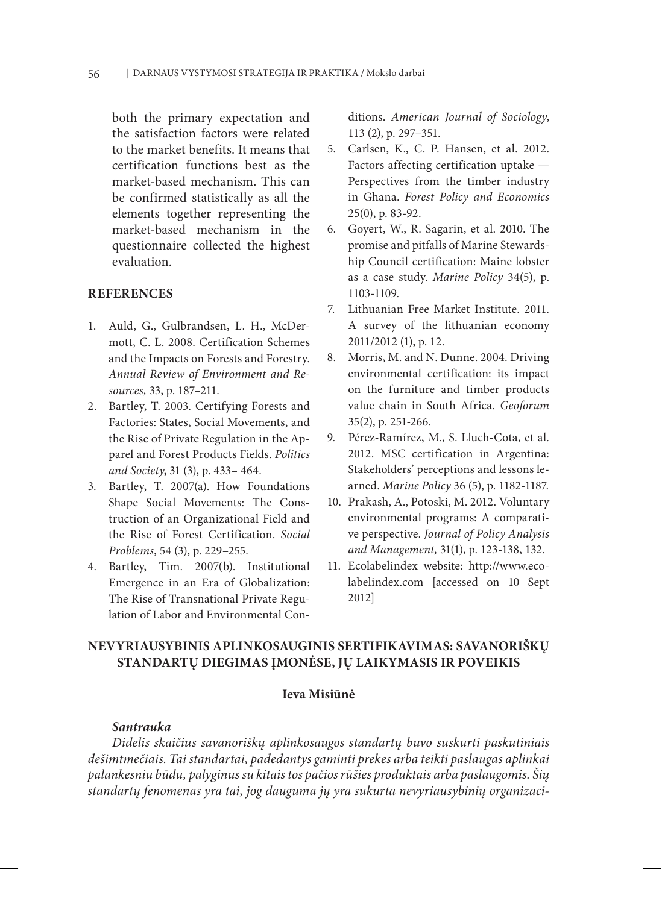both the primary expectation and the satisfaction factors were related to the market benefits. It means that certification functions best as the market-based mechanism. This can be confirmed statistically as all the elements together representing the market-based mechanism in the questionnaire collected the highest evaluation.

### **REFERENCES**

- 1. Auld, G., Gulbrandsen, L. H., McDermott, C. L. 2008. Certification Schemes and the Impacts on Forests and Forestry. *Annual Review of Environment and Resources,* 33, p. 187–211.
- 2. Bartley, T. 2003. Certifying Forests and Factories: States, Social Movements, and the Rise of Private Regulation in the Apparel and Forest Products Fields. *Politics and Society*, 31 (3), p. 433– 464.
- 3. Bartley, T. 2007(a). How Foundations Shape Social Movements: The Construction of an Organizational Field and the Rise of Forest Certification. *Social Problems*, 54 (3), p. 229–255.
- 4. Bartley, Tim. 2007(b). Institutional Emergence in an Era of Globalization: The Rise of Transnational Private Regulation of Labor and Environmental Con-

ditions. *American Journal of Sociology*, 113 (2), p. 297–351.

- 5. Carlsen, K., C. P. Hansen, et al. 2012. Factors affecting certification uptake — Perspectives from the timber industry in Ghana. *Forest Policy and Economics* 25(0), p. 83-92.
- 6. Goyert, W., R. Sagarin, et al. 2010. The promise and pitfalls of Marine Stewardship Council certification: Maine lobster as a case study. *Marine Policy* 34(5), p. 1103-1109.
- 7. Lithuanian Free Market Institute. 2011. A survey of the lithuanian economy 2011/2012 (1), p. 12.
- 8. Morris, M. and N. Dunne. 2004. Driving environmental certification: its impact on the furniture and timber products value chain in South Africa. *Geoforum* 35(2), p. 251-266.
- 9. Pérez-Ramírez, M., S. Lluch-Cota, et al. 2012. MSC certification in Argentina: Stakeholders' perceptions and lessons learned. *Marine Policy* 36 (5), p. 1182-1187.
- 10. Prakash, A., Potoski, M. 2012. Voluntary environmental programs: A comparative perspective. *Journal of Policy Analysis and Management,* 31(1), p. 123-138, 132.
- 11. Ecolabelindex website: http://www.ecolabelindex.com [accessed on 10 Sept 2012]

# **NEVYRIAUSYBINIS APLINKOSAUGINIS SERTIFIKAVIMAS: SAVANORIŠKŲ STANDARTŲ DIEGIMAS ĮMONĖSE, JŲ LAIKYMASIS IR POVEIKIS**

### **Ieva Misiūnė**

### *Santrauka*

*Didelis skaičius savanoriškų aplinkosaugos standartų buvo suskurti paskutiniais dešimtmečiais. Tai standartai, padedantys gaminti prekes arba teikti paslaugas aplinkai palankesniu būdu, palyginus su kitais tos pačios rūšies produktais arba paslaugomis. Šių standartų fenomenas yra tai, jog dauguma jų yra sukurta nevyriausybinių organizaci-*